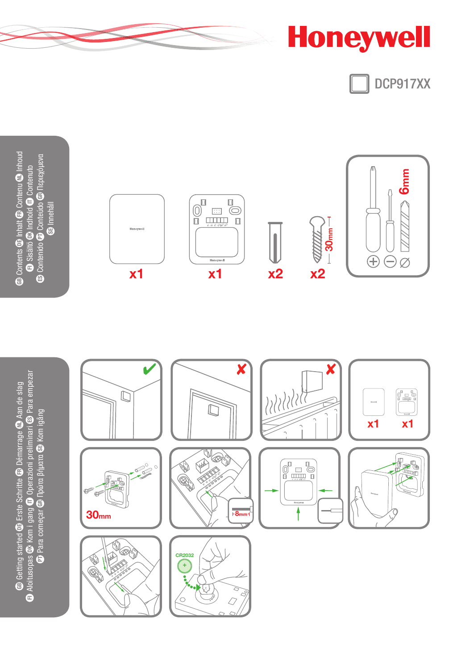$\bm{\mathbb{G}}$  Aloitusopas  $\bm{\mathbb{G}}$  Kom i gang  $\bm{\mathbb{O}}$  Operazioni preliminari  $\bm{\mathbb{G}}$ Para empezar $\bm{\mathbb{G}}$ Para começar  $\bm{\mathbb{G}}$  Rojnon βήματα  $\bm{\mathbb{G}}$  Kom igång  $\oplus$  Getting started  $\oplus$  Erste Schritte  $\oplus$  Démarrage  $\oplus$  Aan de slag



**D** Contents **D** Inhalt **D** Contenu **D** Inhoud **S** Contenido **O** Conteúdo **G** Περιεχόμενα<br>**G** Innehåll **C** Sisältö **@** Indhold **@** Contenuto





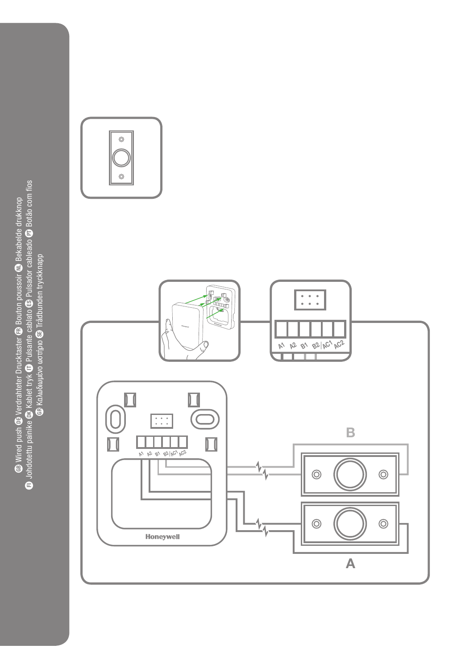**FI** Johdotettu painike **DK** Kablet tryk **IT** Pulsante cablato **ES** Pulsador cableado **PT** Botão com fios **GB** Wired push **DE** Verdrahteter Drucktaster **FR** Bouton poussoir **NL** Bekabelde drukknop **GR** Καλωδιωμένο ωστήριο **SE** Trådbunden tryckknapp



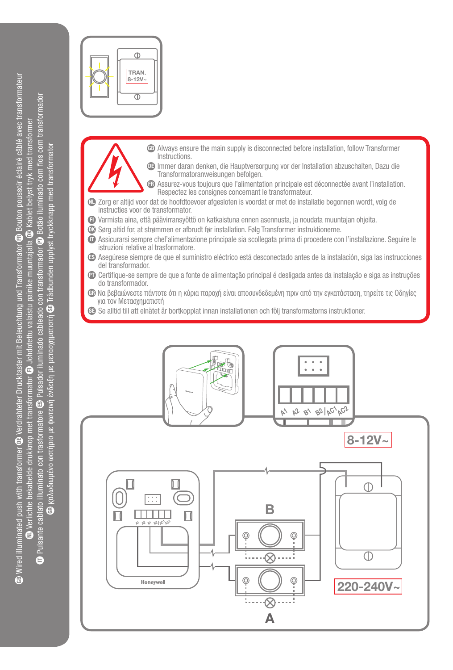